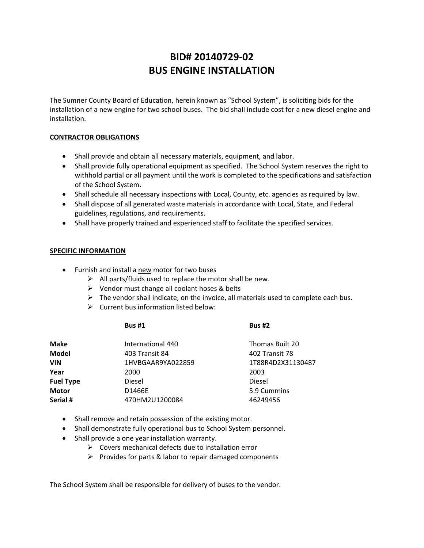# **BID# 20140729‐02 BUS ENGINE INSTALLATION**

The Sumner County Board of Education, herein known as "School System", is soliciting bids for the installation of a new engine for two school buses. The bid shall include cost for a new diesel engine and installation.

## **CONTRACTOR OBLIGATIONS**

- Shall provide and obtain all necessary materials, equipment, and labor.
- Shall provide fully operational equipment as specified. The School System reserves the right to withhold partial or all payment until the work is completed to the specifications and satisfaction of the School System.
- Shall schedule all necessary inspections with Local, County, etc. agencies as required by law.
- Shall dispose of all generated waste materials in accordance with Local, State, and Federal guidelines, regulations, and requirements.
- Shall have properly trained and experienced staff to facilitate the specified services.

### **SPECIFIC INFORMATION**

- Furnish and install a new motor for two buses
	- $\triangleright$  All parts/fluids used to replace the motor shall be new.
	- $\triangleright$  Vendor must change all coolant hoses & belts
	- $\triangleright$  The vendor shall indicate, on the invoice, all materials used to complete each bus.
	- $\triangleright$  Current bus information listed below:

| <b>Bus #1</b> | <b>Bus #2</b> |
|---------------|---------------|
|               |               |

| Make             | International 440 | Thomas Built 20   |
|------------------|-------------------|-------------------|
| <b>Model</b>     | 403 Transit 84    | 402 Transit 78    |
| VIN              | 1HVBGAAR9YA022859 | 1T88R4D2X31130487 |
| Year             | 2000              | 2003              |
| <b>Fuel Type</b> | Diesel            | Diesel            |
| <b>Motor</b>     | D1466E            | 5.9 Cummins       |
| Serial #         | 470HM2U1200084    | 46249456          |
|                  |                   |                   |

- Shall remove and retain possession of the existing motor.
- Shall demonstrate fully operational bus to School System personnel.
- Shall provide a one year installation warranty.
	- $\triangleright$  Covers mechanical defects due to installation error
	- $\triangleright$  Provides for parts & labor to repair damaged components

The School System shall be responsible for delivery of buses to the vendor.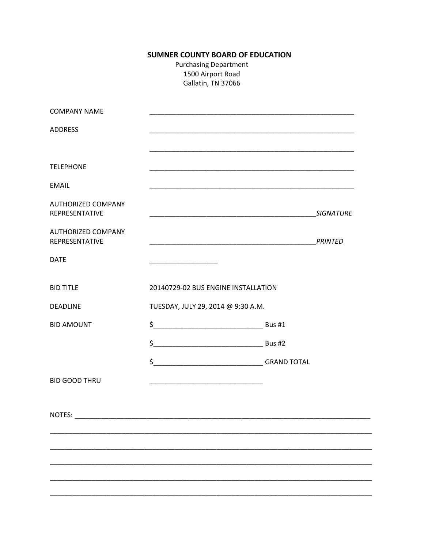# **SUMNER COUNTY BOARD OF EDUCATION**

**Purchasing Department** 1500 Airport Road Gallatin, TN 37066

| <b>COMPANY NAME</b>                         |                                                                   |                  |
|---------------------------------------------|-------------------------------------------------------------------|------------------|
| <b>ADDRESS</b>                              |                                                                   |                  |
| <b>TELEPHONE</b>                            |                                                                   |                  |
| <b>EMAIL</b>                                |                                                                   |                  |
| <b>AUTHORIZED COMPANY</b><br>REPRESENTATIVE | <u> 1990 - Johann John Stone, mars eta biztanleria (h. 1900).</u> | <b>SIGNATURE</b> |
| <b>AUTHORIZED COMPANY</b><br>REPRESENTATIVE |                                                                   |                  |
| <b>DATE</b>                                 |                                                                   |                  |
| <b>BID TITLE</b>                            | 20140729-02 BUS ENGINE INSTALLATION                               |                  |
| <b>DEADLINE</b>                             | TUESDAY, JULY 29, 2014 @ 9:30 A.M.                                |                  |
| <b>BID AMOUNT</b>                           | $\frac{1}{2}$ Bus #1                                              |                  |
|                                             |                                                                   |                  |
|                                             |                                                                   |                  |
| <b>BID GOOD THRU</b>                        |                                                                   |                  |
| <b>NOTES:</b>                               |                                                                   |                  |
|                                             |                                                                   |                  |
|                                             |                                                                   |                  |
|                                             |                                                                   |                  |
|                                             |                                                                   |                  |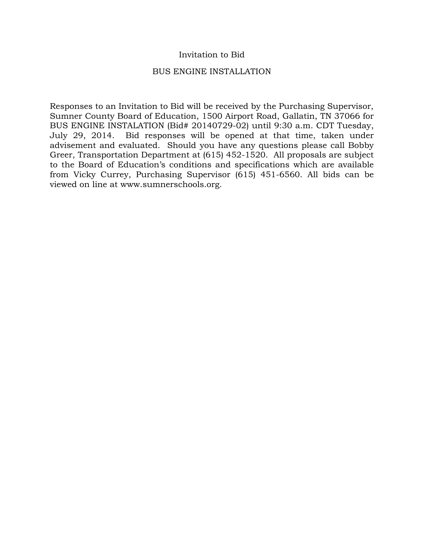# Invitation to Bid

## BUS ENGINE INSTALLATION

Responses to an Invitation to Bid will be received by the Purchasing Supervisor, Sumner County Board of Education, 1500 Airport Road, Gallatin, TN 37066 for BUS ENGINE INSTALATION (Bid# 20140729-02) until 9:30 a.m. CDT Tuesday, July 29, 2014. Bid responses will be opened at that time, taken under advisement and evaluated. Should you have any questions please call Bobby Greer, Transportation Department at (615) 452-1520. All proposals are subject to the Board of Education's conditions and specifications which are available from Vicky Currey, Purchasing Supervisor (615) 451-6560. All bids can be viewed on line at www.sumnerschools.org.